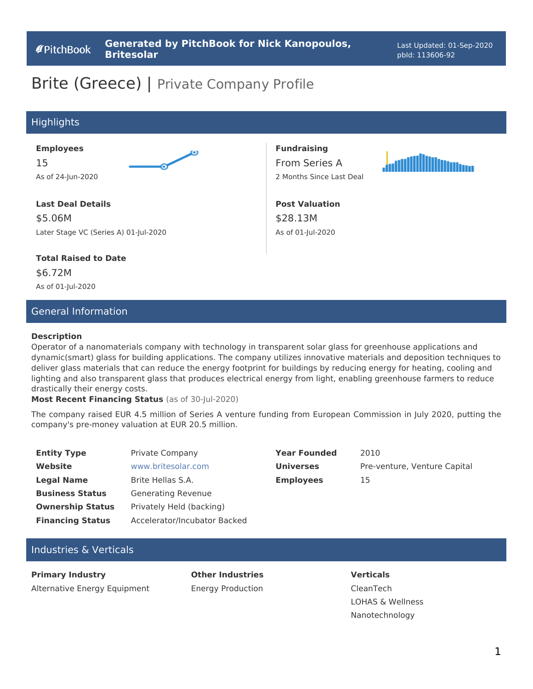# Brite (Greece) | Private Company Profile

### Highlights

#### **Employees**

15 As of 24-Jun-2020



### **Last Deal Details** \$5.06M Later Stage VC (Series A) 01-Jul-2020

#### **Total Raised to Date**

\$6.72M As of 01-Jul-2020

### General Information

#### **Description**

Operator of a nanomaterials company with technology in transparent solar glass for greenhouse applications and dynamic(smart) glass for building applications. The company utilizes innovative materials and deposition techniques to deliver glass materials that can reduce the energy footprint for buildings by reducing energy for heating, cooling and lighting and also transparent glass that produces electrical energy from light, enabling greenhouse farmers to reduce drastically their energy costs.

**Fundraising** From Series A 2 Months Since Last Deal

**Post Valuation**

\$28.13M As of 01-Jul-2020

**Most Recent Financing Status** (as of 30-Jul-2020)

The company raised EUR 4.5 million of Series A venture funding from European Commission in July 2020, putting the company's pre-money valuation at EUR 20.5 million.

| <b>Entity Type</b>      | Private Company              | <b>Year Founded</b> | 2010                         |
|-------------------------|------------------------------|---------------------|------------------------------|
| Website                 | www.britesolar.com           | <b>Universes</b>    | Pre-venture, Venture Capital |
| <b>Legal Name</b>       | Brite Hellas S.A.            | <b>Employees</b>    | 15                           |
| <b>Business Status</b>  | Generating Revenue           |                     |                              |
| <b>Ownership Status</b> | Privately Held (backing)     |                     |                              |
| <b>Financing Status</b> | Accelerator/Incubator Backed |                     |                              |

### Industries & Verticals

**Primary Industry**  Alternative Energy Equipment

**Other Industries**  Energy Production **Verticals**  CleanTech LOHAS & Wellness Nanotechnology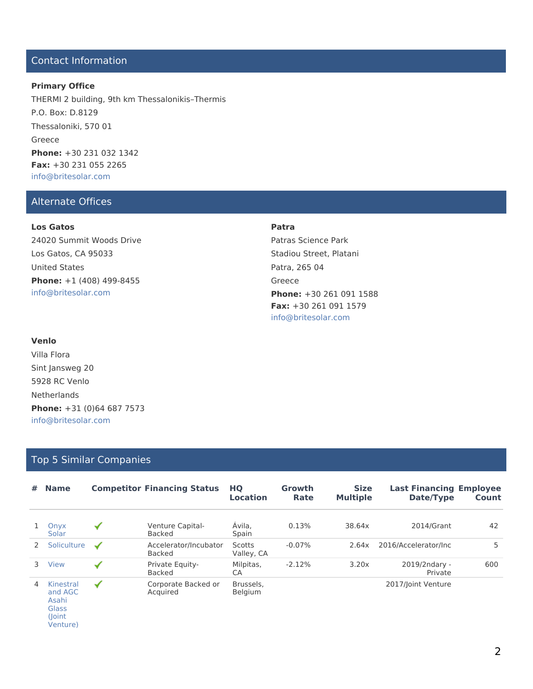### Contact Information

### **Primary Office**

THERMI 2 building, 9th km Thessalonikis–Thermis P.O. Box: D.8129 Thessaloniki, 570 01 Greece **Phone:** +30 231 032 1342 **Fax:** +30 231 055 2265 info@britesolar.com

### Alternate Offices

#### **Los Gatos**

24020 Summit Woods Drive Los Gatos, CA 95033 United States **Phone:** +1 (408) 499-8455 info@britesolar.com

#### **Patra**

Patras Science Park Stadiou Street, Platani Patra, 265 04 Greece **Phone:** +30 261 091 1588 **Fax:** +30 261 091 1579 info@britesolar.com

#### **Venlo**

Villa Flora Sint Jansweg 20 5928 RC Venlo Netherlands **Phone:** +31 (0)64 687 7573 info@britesolar.com

### Top 5 Similar Companies

| # | <b>Name</b>                            |                      | <b>Competitor Financing Status</b>     | HQ<br><b>Location</b> | Growth<br>Rate | <b>Size</b><br><b>Multiple</b> | <b>Last Financing Employee</b><br>Date/Type | Count |
|---|----------------------------------------|----------------------|----------------------------------------|-----------------------|----------------|--------------------------------|---------------------------------------------|-------|
|   | Onyx<br>Solar                          | ✔                    | Venture Capital-<br>Backed             | Ávila.<br>Spain       | 0.13%          | 38.64x                         | 2014/Grant                                  | 42    |
|   | Soliculture                            | $\blacktriangledown$ | Accelerator/Incubator<br><b>Backed</b> | Scotts<br>Valley, CA  | $-0.07%$       | 2.64x                          | 2016/Accelerator/Inc                        | 5     |
| 3 | View                                   | $\blacktriangledown$ | Private Equity-<br><b>Backed</b>       | Milpitas,<br>CA       | $-2.12%$       | 3.20x                          | 2019/2ndary -<br>Private                    | 600   |
| 4 | Kinestral<br>and AGC<br>Asahi<br>Glass | ✔                    | Corporate Backed or<br>Acquired        | Brussels.<br>Belgium  |                |                                | 2017/Joint Venture                          |       |

(Joint

Venture)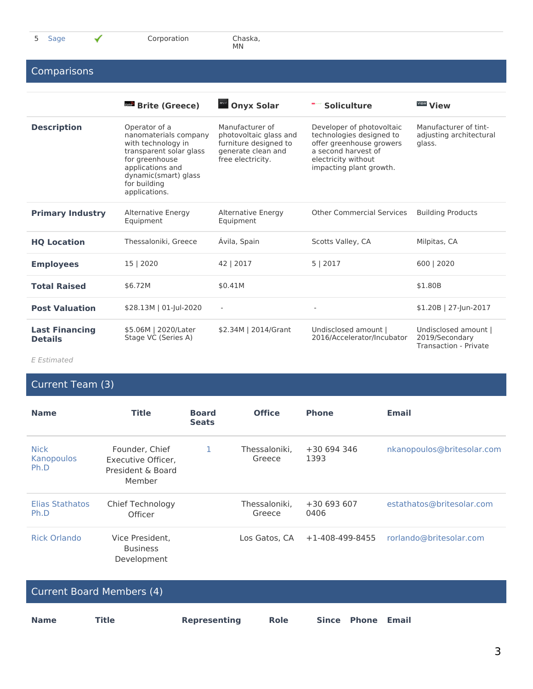Chaska,<br>MN

### **Comparisons**

|                                         | <b>Brite (Greece)</b>                                                                                                                                                                  | <b>Manufacture Only x Solar</b>                                                                               | <b>Soliculture</b>                                                                                                                                         | <b>View View</b>                                                |
|-----------------------------------------|----------------------------------------------------------------------------------------------------------------------------------------------------------------------------------------|---------------------------------------------------------------------------------------------------------------|------------------------------------------------------------------------------------------------------------------------------------------------------------|-----------------------------------------------------------------|
| <b>Description</b>                      | Operator of a<br>nanomaterials company<br>with technology in<br>transparent solar glass<br>for greenhouse<br>applications and<br>dynamic(smart) glass<br>for building<br>applications. | Manufacturer of<br>photovoltaic glass and<br>furniture designed to<br>generate clean and<br>free electricity. | Developer of photovoltaic<br>technologies designed to<br>offer greenhouse growers<br>a second harvest of<br>electricity without<br>impacting plant growth. | Manufacturer of tint-<br>adjusting architectural<br>glass.      |
| <b>Primary Industry</b>                 | Alternative Energy<br>Equipment                                                                                                                                                        | Alternative Energy<br>Equipment                                                                               | <b>Other Commercial Services</b>                                                                                                                           | <b>Building Products</b>                                        |
| <b>HO Location</b>                      | Thessaloniki, Greece                                                                                                                                                                   | Avila, Spain                                                                                                  | Scotts Valley, CA                                                                                                                                          | Milpitas, CA                                                    |
| <b>Employees</b>                        | 15   2020                                                                                                                                                                              | 42   2017                                                                                                     | 5   2017                                                                                                                                                   | 600   2020                                                      |
| <b>Total Raised</b>                     | \$6.72M                                                                                                                                                                                | \$0.41M                                                                                                       |                                                                                                                                                            | \$1,80B                                                         |
| <b>Post Valuation</b>                   | \$28.13M   01-Jul-2020                                                                                                                                                                 | ÷                                                                                                             |                                                                                                                                                            | $$1.20B$   27-Jun-2017                                          |
| <b>Last Financing</b><br><b>Details</b> | \$5.06M   2020/Later<br>Stage VC (Series A)                                                                                                                                            | \$2.34M   2014/Grant                                                                                          | Undisclosed amount  <br>2016/Accelerator/Incubator                                                                                                         | Undisclosed amount  <br>2019/Secondary<br>Transaction - Private |

*E Estimated*

# Current Team (3)

| <b>Name</b>                       | <b>Title</b>                                                        | <b>Board</b><br><b>Seats</b> | <b>Office</b>           | <b>Phone</b>            | <b>Email</b>               |
|-----------------------------------|---------------------------------------------------------------------|------------------------------|-------------------------|-------------------------|----------------------------|
| <b>Nick</b><br>Kanopoulos<br>Ph.D | Founder, Chief<br>Executive Officer,<br>President & Board<br>Member | 1                            | Thessaloniki.<br>Greece | $+30694346$<br>1393     | nkanopoulos@britesolar.com |
| Elias Stathatos<br>Ph.D           | Chief Technology<br>Officer                                         |                              | Thessaloniki.<br>Greece | $+30693607$<br>0406     | estathatos@britesolar.com  |
| <b>Rick Orlando</b>               | Vice President.<br><b>Business</b><br>Development                   |                              | Los Gatos, CA           | $+1 - 408 - 499 - 8455$ | rorlando@britesolar.com    |

|             | Current Board Members (4) |              |             |                   |  |
|-------------|---------------------------|--------------|-------------|-------------------|--|
| <b>Name</b> | Title                     | Representing | <b>Role</b> | Since Phone Email |  |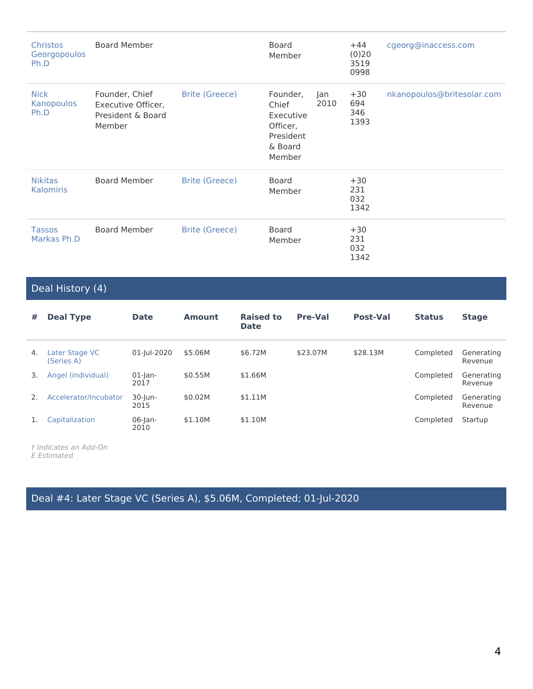| <b>Christos</b><br>Georgopoulos<br>Ph.D | <b>Board Member</b>                                                 |                       | <b>Board</b><br>Member                                                       |             | $+44$<br>(0)20<br>3519<br>0998 | cgeorg@inaccess.com        |
|-----------------------------------------|---------------------------------------------------------------------|-----------------------|------------------------------------------------------------------------------|-------------|--------------------------------|----------------------------|
| <b>Nick</b><br>Kanopoulos<br>Ph.D       | Founder, Chief<br>Executive Officer,<br>President & Board<br>Member | <b>Brite (Greece)</b> | Founder,<br>Chief<br>Executive<br>Officer,<br>President<br>& Board<br>Member | Jan<br>2010 | $+30$<br>694<br>346<br>1393    | nkanopoulos@britesolar.com |
| <b>Nikitas</b><br><b>Kalomiris</b>      | <b>Board Member</b>                                                 | <b>Brite (Greece)</b> | <b>Board</b><br>Member                                                       |             | $+30$<br>231<br>032<br>1342    |                            |
| <b>Tassos</b><br>Markas Ph.D            | <b>Board Member</b>                                                 | Brite (Greece)        | <b>Board</b><br>Member                                                       |             | $+30$<br>231<br>032<br>1342    |                            |

### Deal History (4)

| #  | <b>Deal Type</b>             | <b>Date</b>        | <b>Amount</b> | <b>Raised to</b><br><b>Date</b> | <b>Pre-Val</b> | Post-Val | <b>Status</b> | <b>Stage</b>          |
|----|------------------------------|--------------------|---------------|---------------------------------|----------------|----------|---------------|-----------------------|
| 4. | Later Stage VC<br>(Series A) | 01-Jul-2020        | \$5.06M       | \$6.72M                         | \$23.07M       | \$28.13M | Completed     | Generating<br>Revenue |
| 3. | Angel (individual)           | $01$ -Jan-<br>2017 | \$0.55M       | \$1.66M                         |                |          | Completed     | Generating<br>Revenue |
| 2. | Accelerator/Incubator        | $30$ -Jun-<br>2015 | \$0.02M       | \$1.11M                         |                |          | Completed     | Generating<br>Revenue |
|    | Capitalization               | $06$ -Jan-<br>2010 | \$1.10M       | \$1.10M                         |                |          | Completed     | Startup               |

*† Indicates an Add-On E Estimated*

Deal #4: Later Stage VC (Series A), \$5.06M, Completed; 01-Jul-2020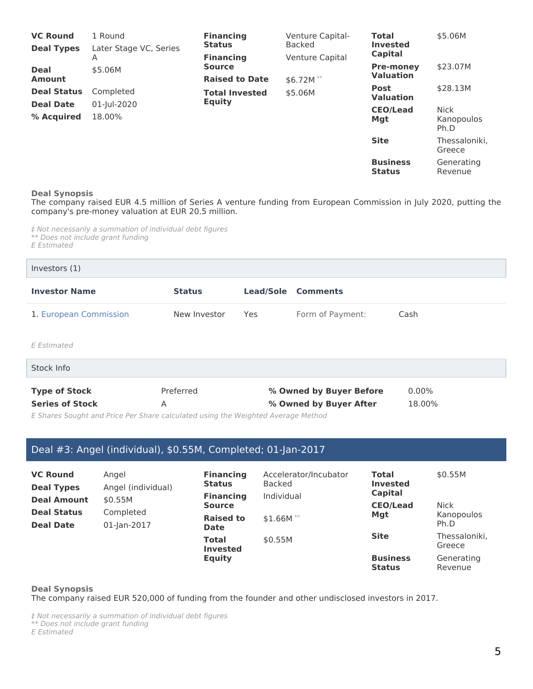| <b>VC Round</b>    | 1 Round                | <b>Financing</b>      | Venture Capital- | <b>Total</b>                     | \$5.06M                 |
|--------------------|------------------------|-----------------------|------------------|----------------------------------|-------------------------|
| <b>Deal Types</b>  | Later Stage VC, Series | <b>Status</b>         | <b>Backed</b>    | <b>Invested</b>                  |                         |
|                    | А                      | <b>Financing</b>      | Venture Capital  | Capital                          |                         |
| <b>Deal</b>        | \$5.06M                | <b>Source</b>         |                  | <b>Pre-money</b>                 | \$23.07M                |
| <b>Amount</b>      |                        | <b>Raised to Date</b> | $$6.72M$ **      | <b>Valuation</b>                 |                         |
| <b>Deal Status</b> | Completed              | <b>Total Invested</b> | \$5.06M          | <b>Post</b><br><b>Valuation</b>  | \$28.13M                |
| <b>Deal Date</b>   | 01-Jul-2020            | <b>Equity</b>         |                  | <b>CEO/Lead</b><br>Mgt           | <b>Nick</b>             |
| % Acquired         | 18.00%                 |                       |                  |                                  | Kanopoulos<br>Ph.D      |
|                    |                        |                       |                  | <b>Site</b>                      | Thessaloniki.<br>Greece |
|                    |                        |                       |                  | <b>Business</b><br><b>Status</b> | Generating<br>Revenue   |

#### **Deal Synopsis**

The company raised EUR 4.5 million of Series A venture funding from European Commission in July 2020, putting the company's pre-money valuation at EUR 20.5 million.

*‡ Not necessarily a summation of individual debt figures \*\* Does not include grant funding E Estimated*

| Investors $(1)$        |               |            |                           |      |
|------------------------|---------------|------------|---------------------------|------|
| <b>Investor Name</b>   | <b>Status</b> |            | <b>Lead/Sole Comments</b> |      |
| 1. European Commission | New Investor  | <b>Yes</b> | Form of Payment:          | Cash |
| E Estimated            |               |            |                           |      |

| Stock Info             |           |                         |          |
|------------------------|-----------|-------------------------|----------|
| <b>Type of Stock</b>   | Preferred | % Owned by Buyer Before | $0.00\%$ |
| <b>Series of Stock</b> |           | % Owned by Buyer After  | 18.00%   |

*E Shares Sought and Price Per Share calculated using the Weighted Average Method*

### Deal #3: Angel (individual), \$0.55M, Completed; 01-Jan-2017

| <b>VC Round</b><br><b>Deal Types</b> | Angel<br>Angel (individual) | <b>Financing</b><br><b>Status</b><br><b>Financing</b> | Accelerator/Incubator<br><b>Backed</b><br>Individual | <b>Total</b><br><b>Invested</b><br>Capital | \$0.55M                 |
|--------------------------------------|-----------------------------|-------------------------------------------------------|------------------------------------------------------|--------------------------------------------|-------------------------|
| <b>Deal Amount</b>                   | \$0.55M                     | <b>Source</b>                                         |                                                      | <b>CEO/Lead</b>                            | <b>Nick</b>             |
| <b>Deal Status</b>                   | Completed                   | <b>Raised to</b>                                      | $$1.66M**$                                           | Mgt                                        | Kanopoulos              |
| <b>Deal Date</b>                     | 01-Jan-2017                 | <b>Date</b>                                           |                                                      |                                            | Ph.D                    |
|                                      |                             | <b>Total</b><br><b>Invested</b><br><b>Equity</b>      | \$0.55M                                              | <b>Site</b>                                | Thessaloniki,<br>Greece |
|                                      |                             |                                                       |                                                      | <b>Business</b><br><b>Status</b>           | Generating<br>Revenue   |

#### **Deal Synopsis**

The company raised EUR 520,000 of funding from the founder and other undisclosed investors in 2017.

*‡ Not necessarily a summation of individual debt figures \*\* Does not include grant funding*

*E Estimated*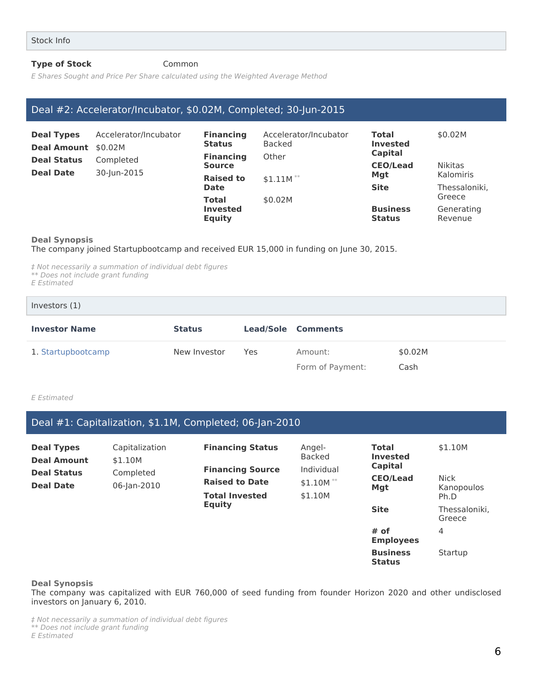#### **Type of Stock Common**

*E Shares Sought and Price Per Share calculated using the Weighted Average Method*

### Deal #2: Accelerator/Incubator, \$0.02M, Completed; 30-Jun-2015

| <b>Deal Types</b><br>Deal Amount \$0.02M                           | Accelerator/Incubator                            | <b>Financing</b><br><b>Status</b><br><b>Financing</b> | Accelerator/Incubator<br><b>Backed</b><br>Other | Total<br><b>Invested</b><br>Capital          | \$0.02M                         |
|--------------------------------------------------------------------|--------------------------------------------------|-------------------------------------------------------|-------------------------------------------------|----------------------------------------------|---------------------------------|
| <b>Deal Status</b><br>Completed<br><b>Deal Date</b><br>30-Jun-2015 | <b>Source</b><br><b>Raised to</b><br><b>Date</b> | $$1.11M$ **                                           | <b>CEO/Lead</b><br><b>Mgt</b><br><b>Site</b>    | <b>Nikitas</b><br>Kalomiris<br>Thessaloniki. |                                 |
|                                                                    |                                                  | <b>Total</b><br><b>Invested</b><br><b>Equity</b>      | \$0.02M                                         | <b>Business</b><br><b>Status</b>             | Greece<br>Generating<br>Revenue |

#### **Deal Synopsis**

The company joined Startupbootcamp and received EUR 15,000 in funding on June 30, 2015.

*‡ Not necessarily a summation of individual debt figures \*\* Does not include grant funding E Estimated*

Investors (1)

# **Investor Name Status Lead/Sole Comments** 1. Startupbootcamp **New Investor Yes** Amount: \$0.02M Form of Payment: Cash

*E Estimated*

Deal #1: Capitalization, \$1.1M, Completed; 06-Jan-2010

| <b>Deal Types</b><br><b>Deal Amount</b> | Capitalization<br>\$1.10M | <b>Financing Status</b><br><b>Financing Source</b> | Angel-<br>Backed<br>Individual | <b>Total</b><br><b>Invested</b><br><b>Capital</b> | \$1.10M                           |
|-----------------------------------------|---------------------------|----------------------------------------------------|--------------------------------|---------------------------------------------------|-----------------------------------|
| <b>Deal Status</b>                      | Completed                 | <b>Raised to Date</b>                              | \$1.10M $*$<br>\$1.10M         | <b>CEO/Lead</b><br>Mgt                            | <b>Nick</b><br>Kanopoulos<br>Ph.D |
| <b>Deal Date</b>                        | 06-Jan-2010               | <b>Total Invested</b><br><b>Equity</b>             |                                |                                                   |                                   |
|                                         |                           |                                                    |                                | <b>Site</b>                                       | Thessaloniki,<br>Greece           |
|                                         |                           |                                                    |                                | # of<br><b>Employees</b>                          | 4                                 |
|                                         |                           |                                                    |                                | <b>Business</b><br><b>Status</b>                  | Startup                           |

**Deal Synopsis**

The company was capitalized with EUR 760,000 of seed funding from founder Horizon 2020 and other undisclosed investors on January 6, 2010.

*‡ Not necessarily a summation of individual debt figures \*\* Does not include grant funding E Estimated*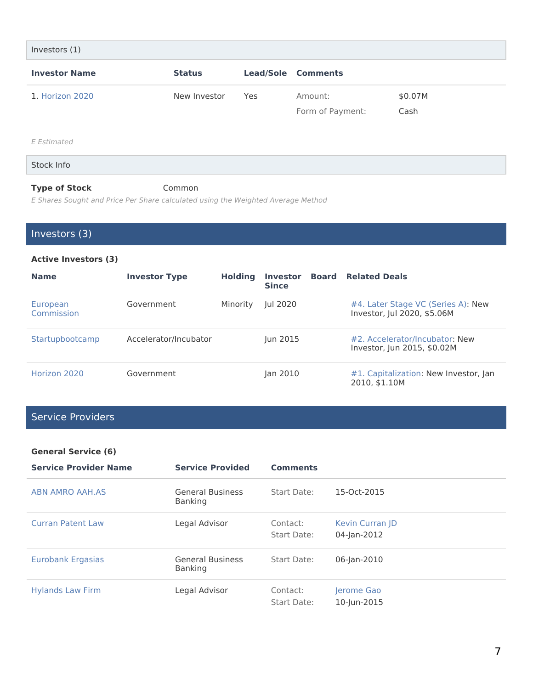| Investors (1)        |               |     |                             |                 |
|----------------------|---------------|-----|-----------------------------|-----------------|
| <b>Investor Name</b> | <b>Status</b> |     | <b>Lead/Sole Comments</b>   |                 |
| 1. Horizon 2020      | New Investor  | Yes | Amount:<br>Form of Payment: | \$0.07M<br>Cash |
| E Estimated          |               |     |                             |                 |
| Stock Info           |               |     |                             |                 |
| <b>Type of Stock</b> | Common        |     |                             |                 |

*E Shares Sought and Price Per Share calculated using the Weighted Average Method*

Investors (3)

#### **Active Investors (3)**

| <b>Name</b>            | <b>Investor Type</b>  | <b>Holding</b> | <b>Investor</b><br><b>Since</b> | Board | <b>Related Deals</b>                                              |
|------------------------|-----------------------|----------------|---------------------------------|-------|-------------------------------------------------------------------|
| European<br>Commission | Government            | Minority       | Jul 2020                        |       | #4. Later Stage VC (Series A): New<br>Investor, Jul 2020, \$5.06M |
| Startupbootcamp        | Accelerator/Incubator |                | Jun 2015                        |       | #2. Accelerator/Incubator: New<br>Investor, Jun 2015, \$0.02M     |
| Horizon 2020           | Government            |                | Jan 2010                        |       | #1. Capitalization: New Investor, Jan<br>2010, \$1.10M            |

### Service Providers

#### **General Service (6)**

| <b>Service Provider Name</b> | <b>Service Provided</b>                   | <b>Comments</b>         |                                       |
|------------------------------|-------------------------------------------|-------------------------|---------------------------------------|
| <b>ABN AMRO AAH.AS</b>       | <b>General Business</b><br><b>Banking</b> | Start Date:             | 15-Oct-2015                           |
| <b>Curran Patent Law</b>     | Legal Advisor                             | Contact:<br>Start Date: | <b>Kevin Curran ID</b><br>04-Jan-2012 |
| <b>Eurobank Ergasias</b>     | <b>General Business</b><br><b>Banking</b> | Start Date:             | 06-Jan-2010                           |
| <b>Hylands Law Firm</b>      | Legal Advisor                             | Contact:<br>Start Date: | Jerome Gao<br>10-Jun-2015             |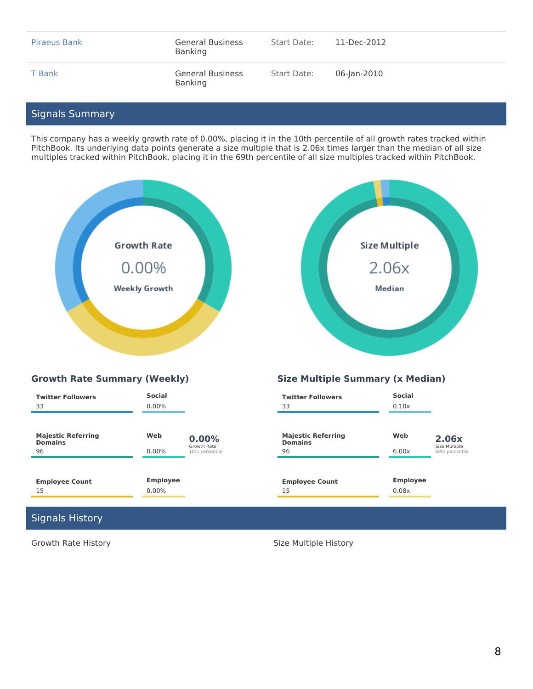| Piraeus Bank | <b>General Business</b><br>Banking | Start Date: | 11-Dec-2012 |
|--------------|------------------------------------|-------------|-------------|
| T Bank       | <b>General Business</b><br>Banking | Start Date: | 06-lan-2010 |

### Signals Summary

This company has a weekly growth rate of 0.00%, placing it in the 10th percentile of all growth rates tracked within PitchBook. Its underlying data points generate a size multiple that is 2.06x times larger than the median of all size multiples tracked within PitchBook, placing it in the 69th percentile of all size multiples tracked within PitchBook.





### **Growth Rate Summary (Weekly) Size Multiple Summary (x Median)**

| <b>Twitter Followers</b><br>33                    | Social<br>$0.00\%$ |                                         | <b>Twitter Followers</b><br>33                    | <b>Social</b><br>0.10x |                                           |
|---------------------------------------------------|--------------------|-----------------------------------------|---------------------------------------------------|------------------------|-------------------------------------------|
| <b>Majestic Referring</b><br><b>Domains</b><br>96 | Web<br>$0.00\%$    | 0.00%<br>Growth Rate<br>10th percentile | <b>Majestic Referring</b><br><b>Domains</b><br>96 | Web<br>6.00x           | 2.06x<br>Size Multiple<br>69th percentile |
|                                                   |                    |                                         |                                                   |                        |                                           |
| <b>Employee Count</b>                             | <b>Employee</b>    |                                         | <b>Employee Count</b>                             | <b>Employee</b>        |                                           |
| 15                                                | $0.00\%$           |                                         | 15                                                | 0.08x                  |                                           |

### Signals History

Growth Rate History **Size Multiple History** Size Multiple History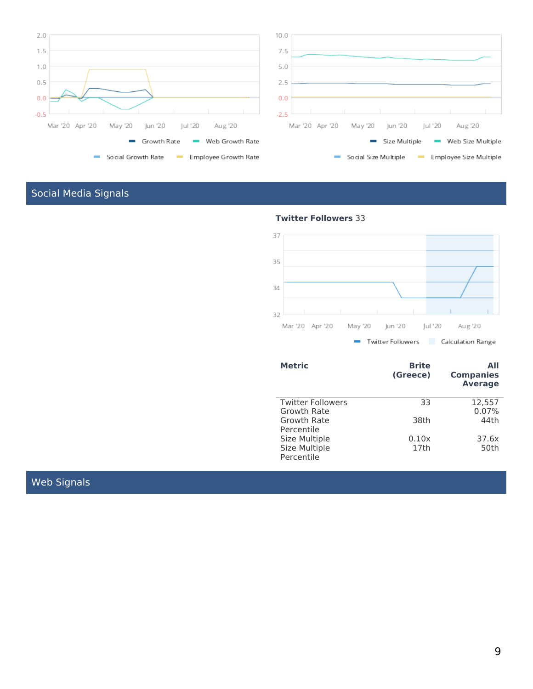

# Social Media Signals



| <b>Metric</b>            | <b>Brite</b><br>(Greece) | ΑII<br><b>Companies</b><br><b>Average</b> |
|--------------------------|--------------------------|-------------------------------------------|
| <b>Twitter Followers</b> | 33                       | 12,557                                    |
| Growth Rate              |                          | 0.07%                                     |
| Growth Rate              | 38th                     | 44th                                      |
| Percentile               |                          |                                           |
| Size Multiple            | 0.10x                    | 37.6x                                     |
| Size Multiple            | 17th                     | 50th                                      |
| Percentile               |                          |                                           |

### Web Signals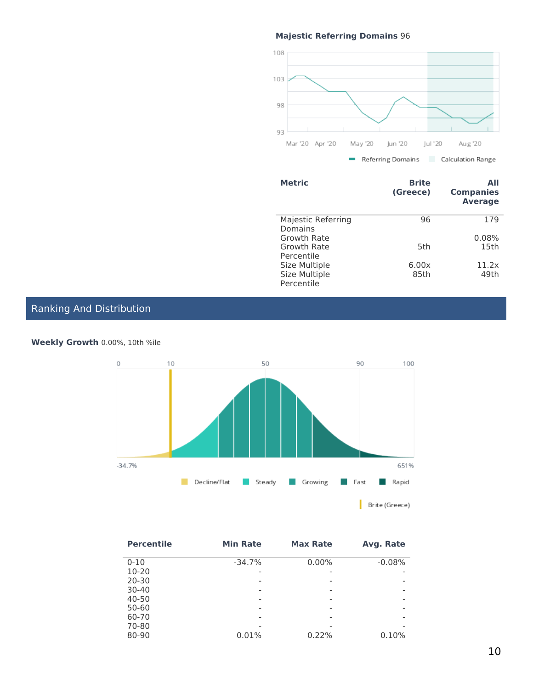### **Majestic Referring Domains** 96



| <b>Metric</b>                 | <b>Brite</b><br>(Greece) | All<br><b>Companies</b><br><b>Average</b> |
|-------------------------------|--------------------------|-------------------------------------------|
| Majestic Referring<br>Domains | 96                       | 179                                       |
|                               |                          |                                           |
| Growth Rate                   |                          | 0.08%                                     |
| Growth Rate                   | 5th                      | 15th                                      |
| Percentile                    |                          |                                           |
| Size Multiple                 | 6.00x                    | 11.2x                                     |
| Size Multiple                 | 85th                     | 49th                                      |
| Percentile                    |                          |                                           |

### Ranking And Distribution



**Weekly Growth** 0.00%, 10th %ile

| <b>Percentile</b> | <b>Min Rate</b> | <b>Max Rate</b> | Avg. Rate                |
|-------------------|-----------------|-----------------|--------------------------|
| $0 - 10$          | $-34.7%$        | $0.00\%$        | $-0.08%$                 |
| $10 - 20$         |                 |                 |                          |
| 20-30             |                 |                 |                          |
| $30 - 40$         |                 |                 | $\overline{\phantom{a}}$ |
| 40-50             |                 |                 |                          |
| $50 - 60$         |                 |                 |                          |
| 60-70             |                 |                 |                          |
| 70-80             |                 |                 |                          |
| 80-90             | 0.01%           | 0.22%           | 0.10%                    |
|                   |                 |                 |                          |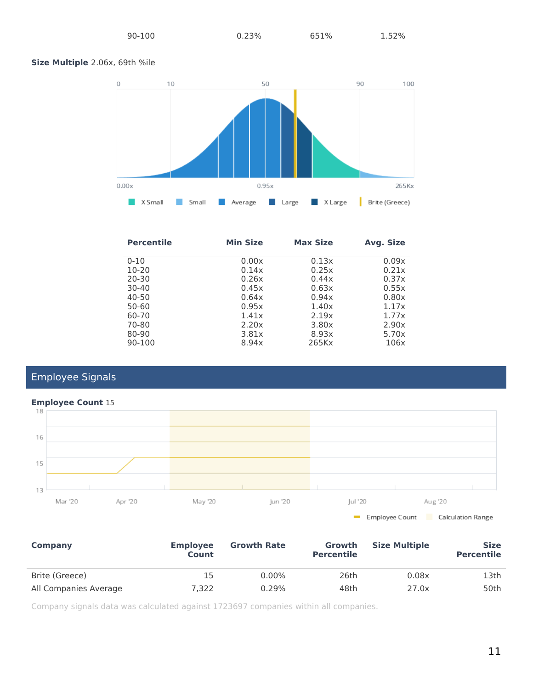#### **Size Multiple** 2.06x, 69th %ile



| <b>Percentile</b> | <b>Min Size</b> | <b>Max Size</b> | Avg. Size |
|-------------------|-----------------|-----------------|-----------|
| $0 - 10$          | 0.00x           | 0.13x           | 0.09x     |
| $10 - 20$         | 0.14x           | 0.25x           | 0.21x     |
| $20 - 30$         | 0.26x           | 0.44x           | 0.37x     |
| $30 - 40$         | 0.45x           | 0.63x           | 0.55x     |
| 40-50             | 0.64x           | 0.94x           | 0.80x     |
| 50-60             | 0.95x           | 1.40x           | 1.17x     |
| 60-70             | 1.41x           | 2.19x           | 1.77x     |
| 70-80             | 2.20x           | 3.80x           | 2.90x     |
| 80-90             | 3.81x           | 8.93x           | 5.70x     |
| 90-100            | 8.94x           | 265Kx           | 106x      |

## Employee Signals



| Company               | <b>Employee</b><br>Count | <b>Growth Rate</b> | Growth<br><b>Percentile</b> | <b>Size Multiple</b> | <b>Size</b><br><b>Percentile</b> |
|-----------------------|--------------------------|--------------------|-----------------------------|----------------------|----------------------------------|
| Brite (Greece)        | 15                       | $0.00\%$           | 26th                        | 0.08x                | 13th                             |
| All Companies Average | 7.322                    | 0.29%              | 48th                        | 27.0x                | 50th                             |

Company signals data was calculated against 1723697 companies within all companies.